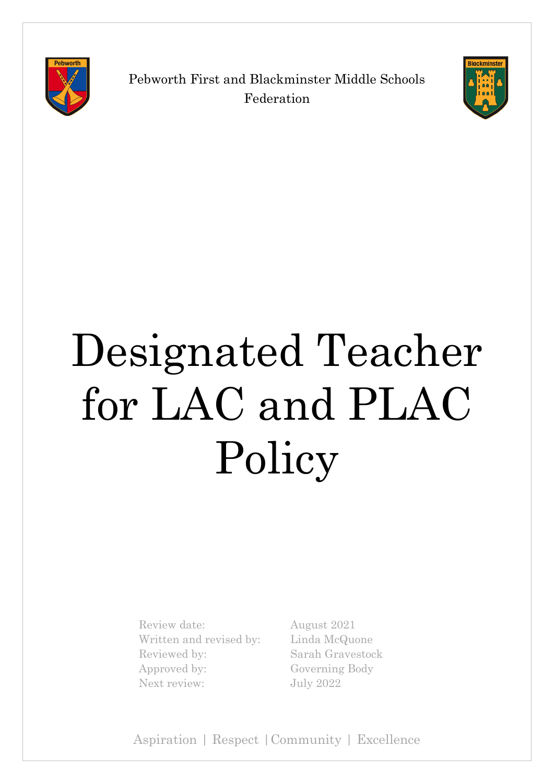

Pebworth First and Blackminster Middle Schools Federation



# Designated Teacher for LAC and PLAC Policy

Review date: August 2021 Written and revised by: Linda McQuone Reviewed by: Sarah Gravestock Approved by: Governing Body Next review: July 2022

Aspiration | Respect |Community | Excellence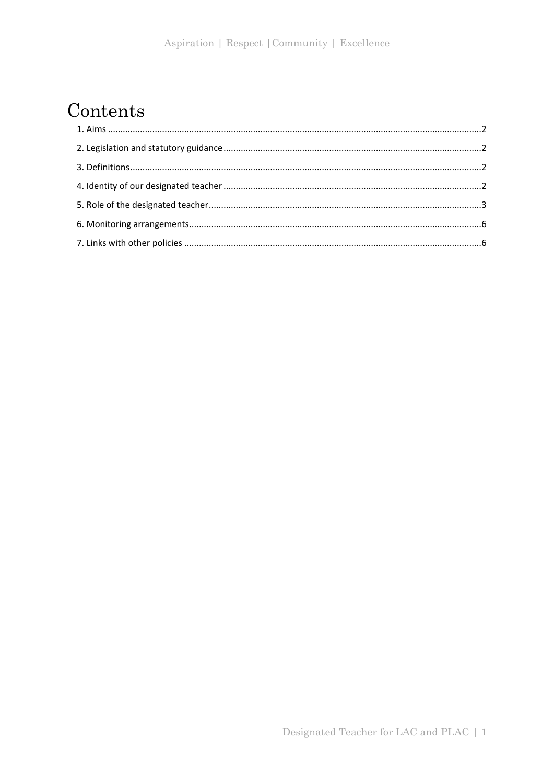# Contents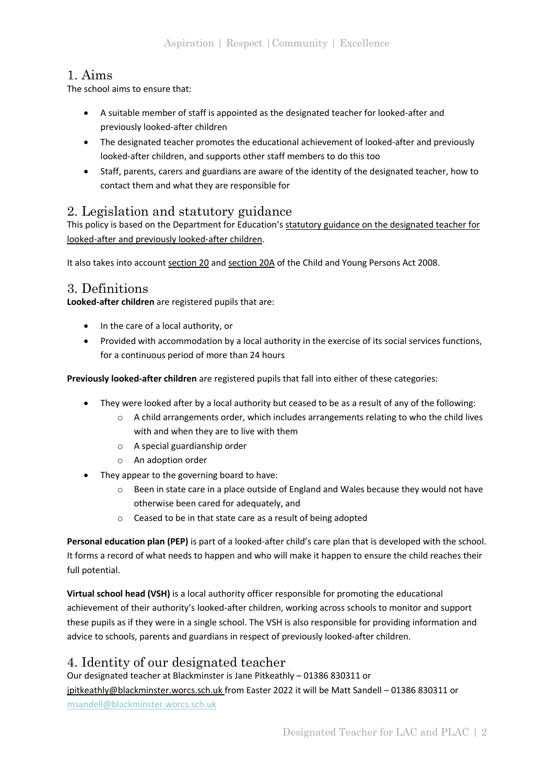# <span id="page-2-0"></span>1. Aims

The school aims to ensure that:

- A suitable member of staff is appointed as the designated teacher for looked-after and previously looked-after children
- The designated teacher promotes the educational achievement of looked-after and previously looked-after children, and supports other staff members to do this too
- Staff, parents, carers and guardians are aware of the identity of the designated teacher, how to contact them and what they are responsible for

## <span id="page-2-1"></span>2. Legislation and statutory guidance

This policy is based on the Department for Education's [statutory guidance on the designated teacher for](https://www.gov.uk/government/publications/designated-teacher-for-looked-after-children)  [looked-after and previously looked-after children.](https://www.gov.uk/government/publications/designated-teacher-for-looked-after-children)

It also takes into accoun[t section 20](http://www.legislation.gov.uk/ukpga/2008/23/section/20) an[d section 20A](http://www.legislation.gov.uk/ukpga/2008/23/section/20A) of the Child and Young Persons Act 2008.

## <span id="page-2-2"></span>3. Definitions

**Looked-after children** are registered pupils that are:

- In the care of a local authority, or
- Provided with accommodation by a local authority in the exercise of its social services functions, for a continuous period of more than 24 hours

**Previously looked-after children** are registered pupils that fall into either of these categories:

- They were looked after by a local authority but ceased to be as a result of any of the following:
	- $\circ$  A child arrangements order, which includes arrangements relating to who the child lives with and when they are to live with them
	- o A special guardianship order
	- o An adoption order
- They appear to the governing board to have:
	- $\circ$  Been in state care in a place outside of England and Wales because they would not have otherwise been cared for adequately, and
	- o Ceased to be in that state care as a result of being adopted

**Personal education plan (PEP)** is part of a looked-after child's care plan that is developed with the school. It forms a record of what needs to happen and who will make it happen to ensure the child reaches their full potential.

**Virtual school head (VSH)** is a local authority officer responsible for promoting the educational achievement of their authority's looked-after children, working across schools to monitor and support these pupils as if they were in a single school. The VSH is also responsible for providing information and advice to schools, parents and guardians in respect of previously looked-after children.

#### <span id="page-2-3"></span>4. Identity of our designated teacher

Our designated teacher at Blackminster is Jane Pitkeathly – 01386 830311 or [jpitkeathly@blackminster.worcs.sch.uk](mailto:jpitkeathly@blackminster.worcs.sch.uk) from Easter 2022 it will be Matt Sandell – 01386 830311 or [msandell@blackminster.worcs.sch.uk](mailto:msandell@blackminster.worcs.sch.uk)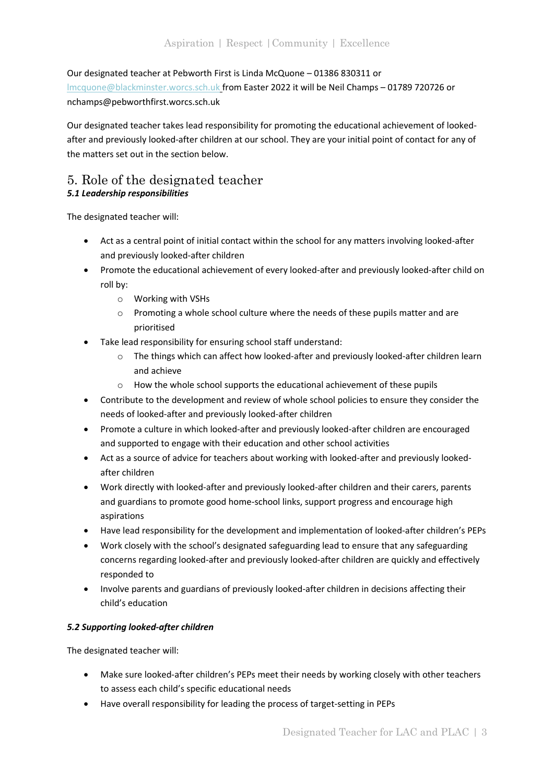#### Our designated teacher at Pebworth First is Linda McQuone – 01386 830311 or

[lmcquone@blackminster.worcs.sch.uk](mailto:lmcquone@blackminster.worcs.sch.uk) from Easter 2022 it will be Neil Champs – 01789 720726 or nchamps@pebworthfirst.worcs.sch.uk

Our designated teacher takes lead responsibility for promoting the educational achievement of lookedafter and previously looked-after children at our school. They are your initial point of contact for any of the matters set out in the section below.

#### <span id="page-3-0"></span>5. Role of the designated teacher *5.1 Leadership responsibilities*

The designated teacher will:

- Act as a central point of initial contact within the school for any matters involving looked-after and previously looked-after children
- Promote the educational achievement of every looked-after and previously looked-after child on roll by:
	- o Working with VSHs
	- o Promoting a whole school culture where the needs of these pupils matter and are prioritised
- Take lead responsibility for ensuring school staff understand:
	- o The things which can affect how looked-after and previously looked-after children learn and achieve
	- o How the whole school supports the educational achievement of these pupils
- Contribute to the development and review of whole school policies to ensure they consider the needs of looked-after and previously looked-after children
- Promote a culture in which looked-after and previously looked-after children are encouraged and supported to engage with their education and other school activities
- Act as a source of advice for teachers about working with looked-after and previously lookedafter children
- Work directly with looked-after and previously looked-after children and their carers, parents and guardians to promote good home-school links, support progress and encourage high aspirations
- Have lead responsibility for the development and implementation of looked-after children's PEPs
- Work closely with the school's designated safeguarding lead to ensure that any safeguarding concerns regarding looked-after and previously looked-after children are quickly and effectively responded to
- Involve parents and guardians of previously looked-after children in decisions affecting their child's education

#### *5.2 Supporting looked-after children*

The designated teacher will:

- Make sure looked-after children's PEPs meet their needs by working closely with other teachers to assess each child's specific educational needs
- Have overall responsibility for leading the process of target-setting in PEPs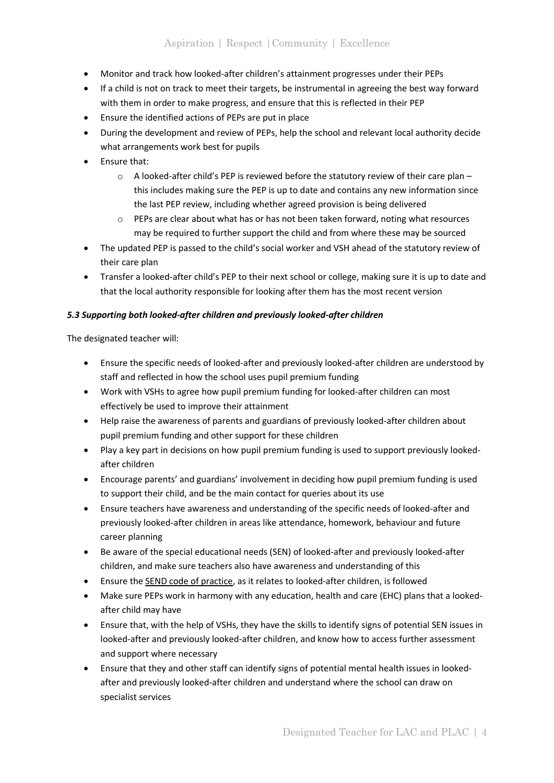- Monitor and track how looked-after children's attainment progresses under their PEPs
- If a child is not on track to meet their targets, be instrumental in agreeing the best way forward with them in order to make progress, and ensure that this is reflected in their PEP
- Ensure the identified actions of PEPs are put in place
- During the development and review of PEPs, help the school and relevant local authority decide what arrangements work best for pupils
- Ensure that:
	- o A looked-after child's PEP is reviewed before the statutory review of their care plan this includes making sure the PEP is up to date and contains any new information since the last PEP review, including whether agreed provision is being delivered
	- $\circ$  PEPs are clear about what has or has not been taken forward, noting what resources may be required to further support the child and from where these may be sourced
- The updated PEP is passed to the child's social worker and VSH ahead of the statutory review of their care plan
- Transfer a looked-after child's PEP to their next school or college, making sure it is up to date and that the local authority responsible for looking after them has the most recent version

#### *5.3 Supporting both looked-after children and previously looked-after children*

The designated teacher will:

- Ensure the specific needs of looked-after and previously looked-after children are understood by staff and reflected in how the school uses pupil premium funding
- Work with VSHs to agree how pupil premium funding for looked-after children can most effectively be used to improve their attainment
- Help raise the awareness of parents and guardians of previously looked-after children about pupil premium funding and other support for these children
- Play a key part in decisions on how pupil premium funding is used to support previously lookedafter children
- Encourage parents' and guardians' involvement in deciding how pupil premium funding is used to support their child, and be the main contact for queries about its use
- Ensure teachers have awareness and understanding of the specific needs of looked-after and previously looked-after children in areas like attendance, homework, behaviour and future career planning
- Be aware of the special educational needs (SEN) of looked-after and previously looked-after children, and make sure teachers also have awareness and understanding of this
- Ensure the [SEND code of practice,](https://www.gov.uk/government/publications/send-code-of-practice-0-to-25) as it relates to looked-after children, is followed
- Make sure PEPs work in harmony with any education, health and care (EHC) plans that a lookedafter child may have
- Ensure that, with the help of VSHs, they have the skills to identify signs of potential SEN issues in looked-after and previously looked-after children, and know how to access further assessment and support where necessary
- Ensure that they and other staff can identify signs of potential mental health issues in lookedafter and previously looked-after children and understand where the school can draw on specialist services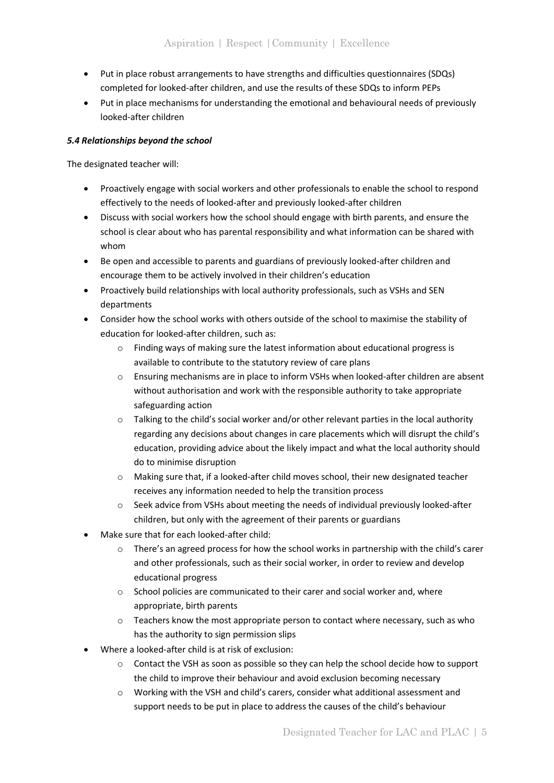- Put in place robust arrangements to have strengths and difficulties questionnaires (SDQs) completed for looked-after children, and use the results of these SDQs to inform PEPs
- Put in place mechanisms for understanding the emotional and behavioural needs of previously looked-after children

#### *5.4 Relationships beyond the school*

The designated teacher will:

- Proactively engage with social workers and other professionals to enable the school to respond effectively to the needs of looked-after and previously looked-after children
- Discuss with social workers how the school should engage with birth parents, and ensure the school is clear about who has parental responsibility and what information can be shared with whom
- Be open and accessible to parents and guardians of previously looked-after children and encourage them to be actively involved in their children's education
- Proactively build relationships with local authority professionals, such as VSHs and SEN departments
- Consider how the school works with others outside of the school to maximise the stability of education for looked-after children, such as:
	- o Finding ways of making sure the latest information about educational progress is available to contribute to the statutory review of care plans
	- o Ensuring mechanisms are in place to inform VSHs when looked-after children are absent without authorisation and work with the responsible authority to take appropriate safeguarding action
	- o Talking to the child's social worker and/or other relevant parties in the local authority regarding any decisions about changes in care placements which will disrupt the child's education, providing advice about the likely impact and what the local authority should do to minimise disruption
	- o Making sure that, if a looked-after child moves school, their new designated teacher receives any information needed to help the transition process
	- $\circ$  Seek advice from VSHs about meeting the needs of individual previously looked-after children, but only with the agreement of their parents or guardians
- Make sure that for each looked-after child:
	- o There's an agreed process for how the school works in partnership with the child's carer and other professionals, such as their social worker, in order to review and develop educational progress
	- o School policies are communicated to their carer and social worker and, where appropriate, birth parents
	- $\circ$  Teachers know the most appropriate person to contact where necessary, such as who has the authority to sign permission slips
- Where a looked-after child is at risk of exclusion:
	- o Contact the VSH as soon as possible so they can help the school decide how to support the child to improve their behaviour and avoid exclusion becoming necessary
	- o Working with the VSH and child's carers, consider what additional assessment and support needs to be put in place to address the causes of the child's behaviour